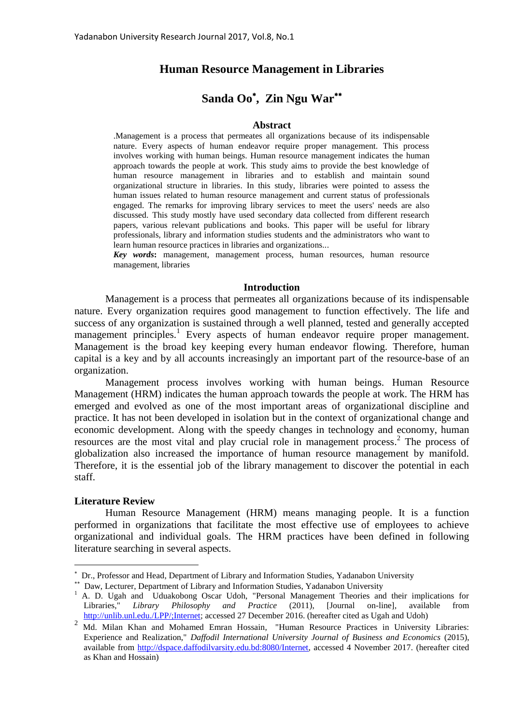# **Human Resource Management in Libraries**

# **Sanda Oo , Zin Ngu War**

#### **Abstract**

.Management is a process that permeates all organizations because of its indispensable nature. Every aspects of human endeavor require proper management. This process involves working with human beings. Human resource management indicates the human approach towards the people at work. This study aims to provide the best knowledge of human resource management in libraries and to establish and maintain sound organizational structure in libraries. In this study, libraries were pointed to assess the human issues related to human resource management and current status of professionals engaged. The remarks for improving library services to meet the users' needs are also discussed. This study mostly have used secondary data collected from different research papers, various relevant publications and books. This paper will be useful for library professionals, library and information studies students and the administrators who want to learn human resource practices in libraries and organizations...

*Key words***:** management, management process, human resources, human resource management, libraries

#### **Introduction**

Management is a process that permeates all organizations because of its indispensable nature. Every organization requires good management to function effectively. The life and success of any organization is sustained through a well planned, tested and generally accepted management principles.<sup>1</sup> Every aspects of human endeavor require proper management. Management is the broad key keeping every human endeavor flowing. Therefore, human capital is a key and by all accounts increasingly an important part of the resource-base of an organization.

Management process involves working with human beings. Human Resource Management (HRM) indicates the human approach towards the people at work. The HRM has emerged and evolved as one of the most important areas of organizational discipline and practice. It has not been developed in isolation but in the context of organizational change and economic development. Along with the speedy changes in technology and economy, human resources are the most vital and play crucial role in management process. 2 The process of globalization also increased the importance of human resource management by manifold. Therefore, it is the essential job of the library management to discover the potential in each staff.

#### **Literature Review**

 $\overline{a}$ 

Human Resource Management (HRM) means managing people. It is a function performed in organizations that facilitate the most effective use of employees to achieve organizational and individual goals. The HRM practices have been defined in following literature searching in several aspects.

 Dr., Professor and Head, Department of Library and Information Studies, Yadanabon University

 Daw, Lecturer, Department of Library and Information Studies, Yadanabon University

<sup>&</sup>lt;sup>1</sup> A. D. Ugah and Uduakobong Oscar Udoh, "Personal Management Theories and their implications for Libraries," *Library Philosophy and Practice* (2011), [Journal on-line], available from [http://unlib.unl.edu./LPP/;Internet;](http://unlib.unl.edu./LPP/;Internet) accessed 27 December 2016. (hereafter cited as Ugah and Udoh)

<sup>&</sup>lt;sup>2</sup> Md. Milan Khan and Mohamed Emran Hossain, "Human Resource Practices in University Libraries: Experience and Realization," *Daffodil International University Journal of Business and Economics* (2015), available from [http://dspace.daffodilvarsity.edu.bd:8080/Internet,](http://dspace.daffodilvarsity.edu.bd:8080/Internet) accessed 4 November 2017. (hereafter cited as Khan and Hossain)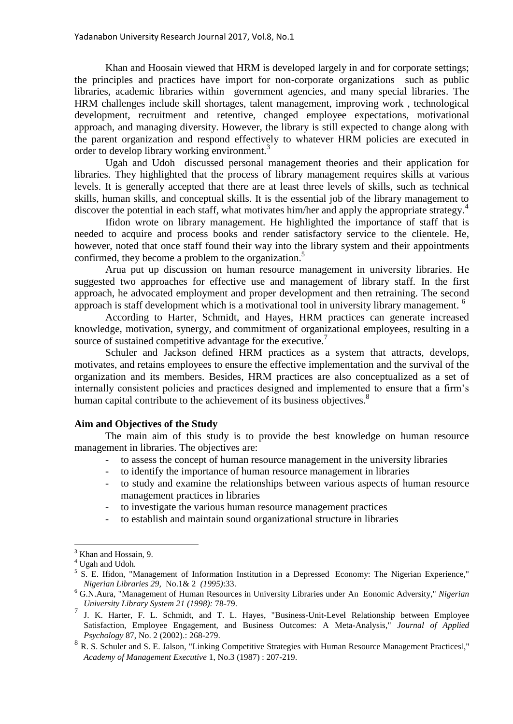Khan and Hoosain viewed that HRM is developed largely in and for corporate settings; the principles and practices have import for non-corporate organizations such as public libraries, academic libraries within government agencies, and many special libraries. The HRM challenges include skill shortages, talent management, improving work , technological development, recruitment and retentive, changed employee expectations, motivational approach, and managing diversity. However, the library is still expected to change along with the parent organization and respond effectively to whatever HRM policies are executed in order to develop library working environment.<sup>3</sup>

Ugah and Udoh discussed personal management theories and their application for libraries. They highlighted that the process of library management requires skills at various levels. It is generally accepted that there are at least three levels of skills, such as technical skills, human skills, and conceptual skills. It is the essential job of the library management to discover the potential in each staff, what motivates him/her and apply the appropriate strategy.<sup>4</sup>

Ifidon wrote on library management. He highlighted the importance of staff that is needed to acquire and process books and render satisfactory service to the clientele. He, however, noted that once staff found their way into the library system and their appointments confirmed, they become a problem to the organization.<sup>5</sup>

Arua put up discussion on human resource management in university libraries. He suggested two approaches for effective use and management of library staff. In the first approach, he advocated employment and proper development and then retraining. The second approach is staff development which is a motivational tool in university library management.<sup>6</sup>

According to Harter, Schmidt, and Hayes, HRM practices can generate increased knowledge, motivation, synergy, and commitment of organizational employees, resulting in a source of sustained competitive advantage for the executive.<sup>7</sup>

Schuler and Jackson defined HRM practices as a system that attracts, develops, motivates, and retains employees to ensure the effective implementation and the survival of the organization and its members. Besides, HRM practices are also conceptualized as a set of internally consistent policies and practices designed and implemented to ensure that a firm's human capital contribute to the achievement of its business objectives.<sup>8</sup>

# **Aim and Objectives of the Study**

The main aim of this study is to provide the best knowledge on human resource management in libraries. The objectives are:

- to assess the concept of human resource management in the university libraries
- to identify the importance of human resource management in libraries
- to study and examine the relationships between various aspects of human resource management practices in libraries
- to investigate the various human resource management practices
- to establish and maintain sound organizational structure in libraries

 $\overline{a}$ 

<sup>&</sup>lt;sup>3</sup> Khan and Hossain, 9.

 $^4$  Ugah and Udoh.

<sup>&</sup>lt;sup>5</sup> S. E. Ifidon, "Management of Information Institution in a Depressed Economy: The Nigerian Experience," *Nigerian Libraries 29,* No.1& 2 *(1995)*:33.

<sup>6</sup> G.N.Aura, "Management of Human Resources in University Libraries under An Eonomic Adversity," *Nigerian University Library System 21 (1998):* 78-79.

<sup>7</sup> J. K. Harter, F. L. Schmidt, and T. L. Hayes, "Business-Unit-Level Relationship between Employee Satisfaction, Employee Engagement, and Business Outcomes: A Meta-Analysis," *Journal of Applied Psychology* 87, No. 2 (2002).: 268-279.

<sup>8</sup> R. S. Schuler and S. E. Jalson, "Linking Competitive Strategies with Human Resource Management Practices!," *Academy of Management Executive* 1, No.3 (1987) : 207-219.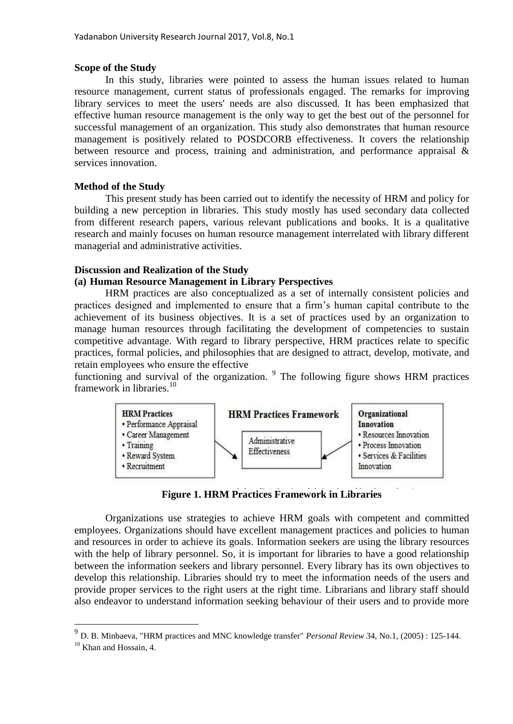### **Scope of the Study**

In this study, libraries were pointed to assess the human issues related to human resource management, current status of professionals engaged. The remarks for improving library services to meet the users' needs are also discussed. It has been emphasized that effective human resource management is the only way to get the best out of the personnel for successful management of an organization. This study also demonstrates that human resource management is positively related to POSDCORB effectiveness. It covers the relationship between resource and process, training and administration, and performance appraisal & services innovation.

# **Method of the Study**

This present study has been carried out to identify the necessity of HRM and policy for building a new perception in libraries. This study mostly has used secondary data collected from different research papers, various relevant publications and books. It is a qualitative research and mainly focuses on human resource management interrelated with library different managerial and administrative activities.

# **Discussion and Realization of the Study**

# **(a) Human Resource Management in Library Perspectives**

HRM practices are also conceptualized as a set of internally consistent policies and practices designed and implemented to ensure that a firm's human capital contribute to the achievement of its business objectives. It is a set of practices used by an organization to manage human resources through facilitating the development of competencies to sustain competitive advantage. With regard to library perspective, HRM practices relate to specific practices, formal policies, and philosophies that are designed to attract, develop, motivate, and retain employees who ensure the effective

functioning and survival of the organization.  $9$  The following figure shows HRM practices framework in libraries. $10<sup>10</sup>$ 



**Figure 1. HRM Practices Framework in Libraries**

Organizations use strategies to achieve HRM goals with competent and committed employees. Organizations should have excellent management practices and policies to human and resources in order to achieve its goals. Information seekers are using the library resources with the help of library personnel. So, it is important for libraries to have a good relationship between the information seekers and library personnel. Every library has its own objectives to develop this relationship. Libraries should try to meet the information needs of the users and provide proper services to the right users at the right time. Librarians and library staff should also endeavor to understand information seeking behaviour of their users and to provide more

 $\overline{a}$ 

<sup>9</sup> D. B. Minbaeva, "HRM practices and MNC knowledge transfer" *Personal Review* 34, No.1, (2005) : 125-144.

<sup>&</sup>lt;sup>10</sup> Khan and Hossain, 4.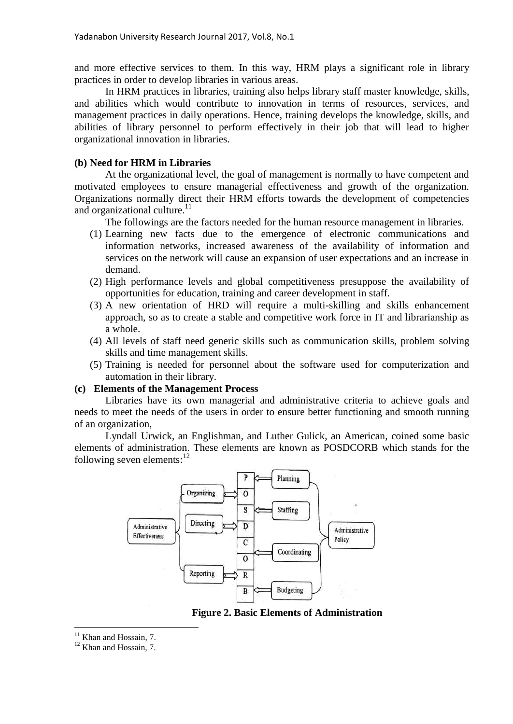and more effective services to them. In this way, HRM plays a significant role in library practices in order to develop libraries in various areas.

In HRM practices in libraries, training also helps library staff master knowledge, skills, and abilities which would contribute to innovation in terms of resources, services, and management practices in daily operations. Hence, training develops the knowledge, skills, and abilities of library personnel to perform effectively in their job that will lead to higher organizational innovation in libraries.

## **(b) Need for HRM in Libraries**

At the organizational level, the goal of management is normally to have competent and motivated employees to ensure managerial effectiveness and growth of the organization. Organizations normally direct their HRM efforts towards the development of competencies and organizational culture. $11$ 

The followings are the factors needed for the human resource management in libraries.

- (1) Learning new facts due to the emergence of electronic communications and information networks, increased awareness of the availability of information and services on the network will cause an expansion of user expectations and an increase in demand.
- (2) High performance levels and global competitiveness presuppose the availability of opportunities for education, training and career development in staff.
- (3) A new orientation of HRD will require a multi-skilling and skills enhancement approach, so as to create a stable and competitive work force in IT and librarianship as a whole.
- (4) All levels of staff need generic skills such as communication skills, problem solving skills and time management skills.
- (5) Training is needed for personnel about the software used for computerization and automation in their library.

## **(c) Elements of the Management Process**

Libraries have its own managerial and administrative criteria to achieve goals and needs to meet the needs of the users in order to ensure better functioning and smooth running of an organization,

Lyndall Urwick, an Englishman, and Luther Gulick, an American, coined some basic elements of administration. These elements are known as POSDCORB which stands for the following seven elements: $12$ 



**Figure 2. Basic Elements of Administration**

 $\overline{a}$  $11$  Khan and Hossain, 7.

<sup>&</sup>lt;sup>12</sup> Khan and Hossain, 7.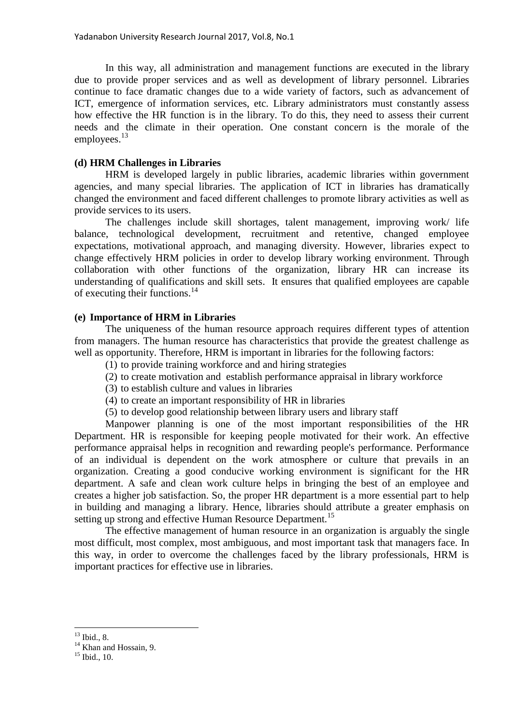In this way, all administration and management functions are executed in the library due to provide proper services and as well as development of library personnel. Libraries continue to face dramatic changes due to a wide variety of factors, such as advancement of ICT, emergence of information services, etc. Library administrators must constantly assess how effective the HR function is in the library. To do this, they need to assess their current needs and the climate in their operation. One constant concern is the morale of the employees. $^{13}$ 

### **(d) HRM Challenges in Libraries**

HRM is developed largely in public libraries, academic libraries within government agencies, and many special libraries. The application of ICT in libraries has dramatically changed the environment and faced different challenges to promote library activities as well as provide services to its users.

The challenges include skill shortages, talent management, improving work/ life balance, technological development, recruitment and retentive, changed employee expectations, motivational approach, and managing diversity. However, libraries expect to change effectively HRM policies in order to develop library working environment. Through collaboration with other functions of the organization, library HR can increase its understanding of qualifications and skill sets. It ensures that qualified employees are capable of executing their functions.<sup>14</sup>

#### **(e) Importance of HRM in Libraries**

The uniqueness of the human resource approach requires different types of attention from managers. The human resource has characteristics that provide the greatest challenge as well as opportunity. Therefore, HRM is important in libraries for the following factors:

- (1) to provide training workforce and and hiring strategies
- (2) to create motivation and establish performance appraisal in library workforce
- (3) to establish culture and values in libraries
- (4) to create an important responsibility of HR in libraries
- (5) to develop good relationship between library users and library staff

Manpower planning is one of the most important responsibilities of the HR Department. HR is responsible for keeping people motivated for their work. An effective performance appraisal helps in recognition and rewarding people's performance. Performance of an individual is dependent on the work atmosphere or culture that prevails in an organization. Creating a good conducive working environment is significant for the HR department. A safe and clean work culture helps in bringing the best of an employee and creates a higher job satisfaction. So, the proper HR department is a more essential part to help in building and managing a library. Hence, libraries should attribute a greater emphasis on setting up strong and effective Human Resource Department.<sup>15</sup>

The effective management of human resource in an organization is arguably the single most difficult, most complex, most ambiguous, and most important task that managers face. In this way, in order to overcome the challenges faced by the library professionals, HRM is important practices for effective use in libraries.

 $\overline{a}$  $13$  Ibid., 8.

 $14$  Khan and Hossain, 9.

 $15$  Ibid., 10.